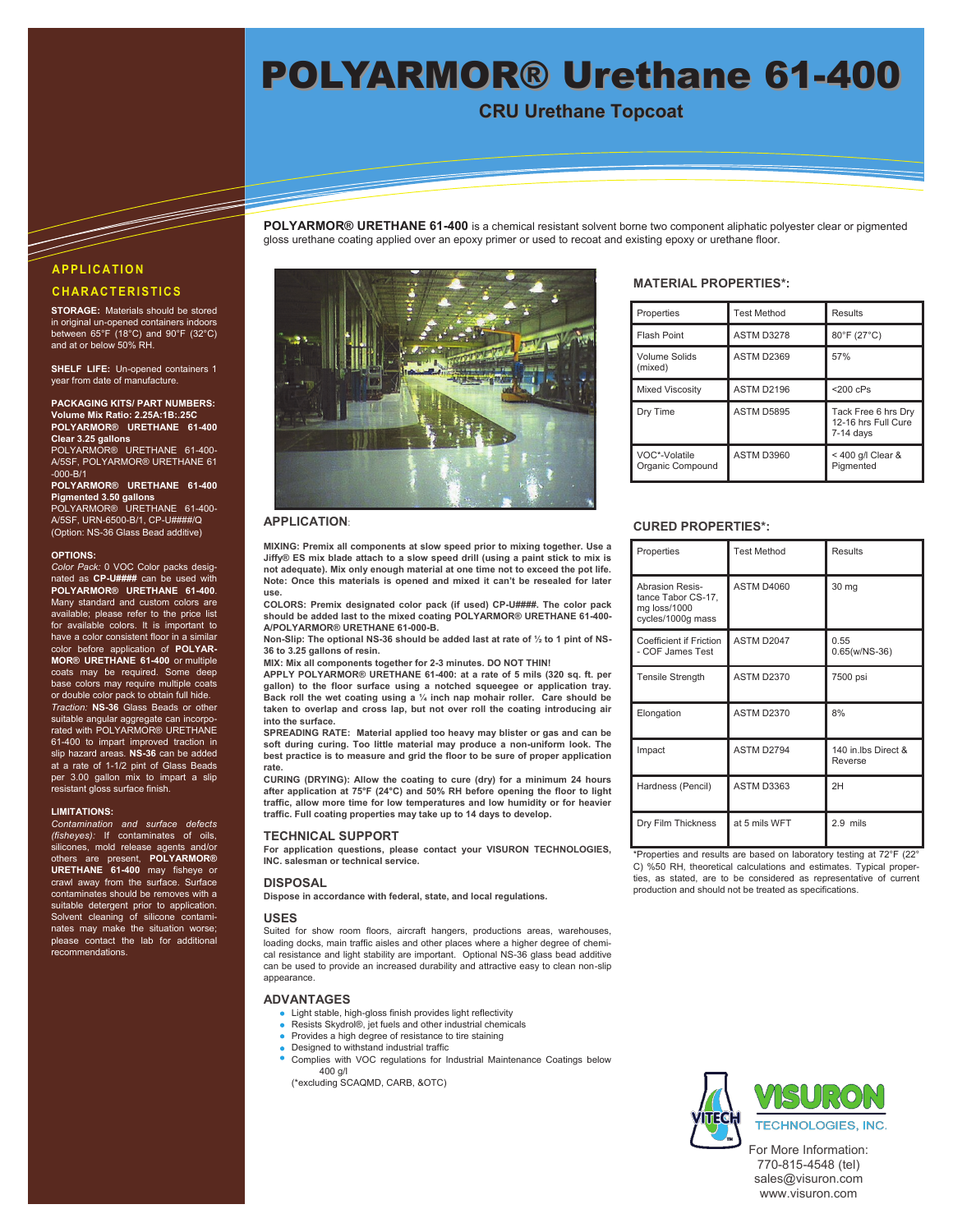# POLYARMOR® Urethane 61-400

**CRU Urethane Topcoat**

**POLYARMOR® URETHANE 61-400** is a chemical resistant solvent borne two component aliphatic polyester clear or pigmented

gloss urethane coating applied over an epoxy primer or used to recoat and existing epoxy or urethane floor.

## **APPLICATION C H A R A C T E R I S T I C S**

T

**STORAGE:** Materials should be stored in original un-opened containers indoors between 65°F (18°C) and 90°F (32°C) and at or below 50% RH.

**SHELF LIFE:** Un-opened containers 1 year from date of manufacture.

#### **PACKAGING KITS/ PART NUMBERS: Volume Mix Ratio: 2.25A:1B:.25C POLYARMOR® URETHANE 61-400 Clear 3.25 gallons**

POLYARMOR® URETHANE 61-400- A/5SF, POLYARMOR® URETHANE 61 -000-B/1

**POLYARMOR® URETHANE 61-400 Pigmented 3.50 gallons**

POLYARMOR® URETHANE 61-400-<br>A/5SF,URN-6500-B/1,CP-U####/Q (Option: NS-36 Glass Bead additive)

#### **OPTIONS:**

*Color Pack:* 0 VOC Color packs designated as **CP-U####** can be used with **POLYARMOR® URETHANE 61-400**. Many standard and custom colors are available; please refer to the price list for available colors. It is important to have a color consistent floor in a similar color before application of **POLYAR-MOR® URETHANE 61-400** or multiple coats may be required. Some deep base colors may require multiple coats or double color pack to obtain full hide. *Traction:* **NS-36** Glass Beads or other suitable angular aggregate can incorpo rated with POLYARMOR® URETHANE 61-400 to impart improved traction in slip hazard areas. **NS-36** can be added at a rate of 1-1/2 pint of Glass Beads per 3.00 gallon mix to impart a slip resistant gloss surface finish.

#### **LIMITATIONS:**

*Contamination and surface defects (fisheyes):* If contaminates of oils, silicones, mold release agents and/or others are present, **POLYARMOR® URETHANE 61-400** may fisheye or crawl away from the surface. Surface contaminates should be removes with a suitable detergent prior to application. Solvent cleaning of silicone contami-nates may make the situation worse; please contact the lab for additional .<br>recommendations



#### **APPLICATION**:

**MIXING: Premix all components at slow speed prior to mixing together. Use a Jiffy® ES mix blade attach to a slow speed drill (using a paint stick to mix is not adequate). Mix only enough material at one time not to exceed the pot life. Note: Once this materials is opened and mixed it can't be resealed for later use.**

**COLORS: Premix designated color pack (if used) CP-U####. The color pack should be added last to the mixed coating POLYARMOR® URETHANE 61-400- A/POLYARMOR® URETHANE 61-000-B.** 

**Non-Slip: The optional NS-36 should be added last at rate of ½ to 1 pint of NS-36 to 3.25 gallons of resin.**

**MIX: Mix all components together for 2-3 minutes. DO NOT THIN!**

**APPLY POLYARMOR® URETHANE 61-400: at a rate of 5 mils (320 sq. ft. per gallon) to the floor surface using a notched squeegee or application tray. Back roll the wet coating using a ¼ inch nap mohair roller. Care should be taken to overlap and cross lap, but not over roll the coating introducing air into the surface.**

**SPREADING RATE: Material applied too heavy may blister or gas and can be soft during curing. Too little material may produce a non-uniform look. The best practice is to measure and grid the floor to be sure of proper application rate.**

**CURING (DRYING): Allow the coating to cure (dry) for a minimum 24 hours after application at 75°F (24°C) and 50% RH before opening the floor to light traffic, allow more time for low temperatures and low humidity or for heavier traffic. Full coating properties may take up to 14 days to develop.**

#### **TECHNICAL SUPPORT**

**For application questions, please contact your VISURON TECHNOLOGIES, INC. salesman or technical service.**

## **DISPOSAL**

**Dispose in accordance with federal, state, and local regulations.**

### **USES**

Suited for show room floors, aircraft hangers, productions areas, warehouses, loading docks, main traffic aisles and other places where a higher degree of chemical resistance and light stability are important. Optional NS-36 glass bead additive can be used to provide an increased durability and attractive easy to clean non-slip appearance.

#### **ADVANTAGES**

- Light stable, high-gloss finish provides light reflectivity
- Resists Skydrol®, jet fuels and other industrial chemicals
- Provides a high degree of resistance to tire staining
- Designed to withstand industrial traffic
- Complies with VOC regulations for Industrial Maintenance Coatings below 400 g/l

(\*excluding SCAQMD, CARB, &OTC)

## **MATERIAL PROPERTIES\*:**

| Properties                        | <b>Test Method</b> | Results                                                   |  |
|-----------------------------------|--------------------|-----------------------------------------------------------|--|
| Flash Point                       | ASTM D3278         | 80°F (27°C)                                               |  |
| <b>Volume Solids</b><br>(mixed)   | ASTM D2369         | 57%                                                       |  |
| <b>Mixed Viscosity</b>            | ASTM D2196         | $<$ 200 $c$ Ps                                            |  |
| Dry Time                          | ASTM D5895         | Tack Free 6 hrs Dry<br>12-16 hrs Full Cure<br>$7-14$ days |  |
| VOC*-Volatile<br>Organic Compound | ASTM D3960         | < 400 g/l Clear &<br>Pigmented                            |  |

## **CURED PROPERTIES\*:**

| Properties                                                                        | <b>Test Method</b> | <b>Results</b>                 |  |
|-----------------------------------------------------------------------------------|--------------------|--------------------------------|--|
| <b>Abrasion Resis-</b><br>tance Tabor CS-17,<br>mg loss/1000<br>cycles/1000g mass | <b>ASTM D4060</b>  | 30 mg                          |  |
| Coefficient if Friction<br>- COF James Test                                       | ASTM D2047         | 0.55<br>$0.65(w/NS-36)$        |  |
| <b>Tensile Strength</b>                                                           | ASTM D2370         | 7500 psi                       |  |
| Elongation                                                                        | <b>ASTM D2370</b>  | 8%                             |  |
| Impact                                                                            | ASTM D2794         | 140 in.lbs Direct &<br>Reverse |  |
| Hardness (Pencil)                                                                 | ASTM D3363         | 2H                             |  |
| Dry Film Thickness                                                                | at 5 mils WFT      | $2.9$ mils                     |  |

\*Properties and results are based on laboratory testing at 72°F (22° C) %50 RH, theoretical calculations and estimates. Typical properties, as stated, are to be considered as representative of current production and should not be treated as specifications.



For More Information: 770-815-4548 (tel) sales@visuron.com www.visuron.com